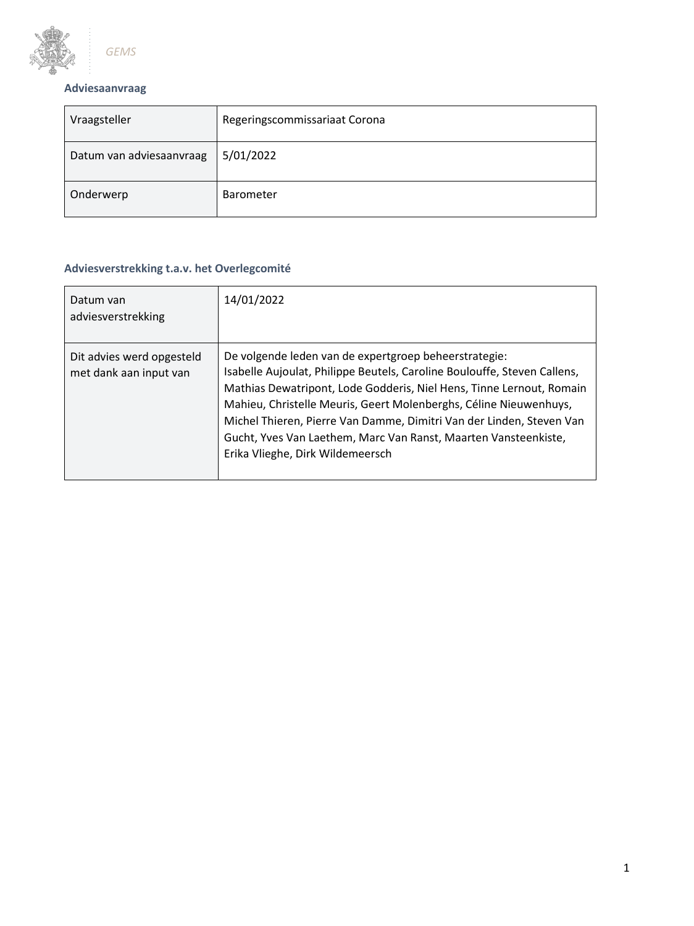

# **Adviesaanvraag**

| Vraagsteller             | Regeringscommissariaat Corona |
|--------------------------|-------------------------------|
| Datum van adviesaanvraag | 5/01/2022                     |
| Onderwerp                | Barometer                     |

## **Adviesverstrekking t.a.v. het Overlegcomité**

| Datum van<br>adviesverstrekking                     | 14/01/2022                                                                                                                                                                                                                                                                                                                                                                                                                                                    |
|-----------------------------------------------------|---------------------------------------------------------------------------------------------------------------------------------------------------------------------------------------------------------------------------------------------------------------------------------------------------------------------------------------------------------------------------------------------------------------------------------------------------------------|
| Dit advies werd opgesteld<br>met dank aan input van | De volgende leden van de expertgroep beheerstrategie:<br>Isabelle Aujoulat, Philippe Beutels, Caroline Boulouffe, Steven Callens,<br>Mathias Dewatripont, Lode Godderis, Niel Hens, Tinne Lernout, Romain<br>Mahieu, Christelle Meuris, Geert Molenberghs, Céline Nieuwenhuys,<br>Michel Thieren, Pierre Van Damme, Dimitri Van der Linden, Steven Van<br>Gucht, Yves Van Laethem, Marc Van Ranst, Maarten Vansteenkiste,<br>Erika Vlieghe, Dirk Wildemeersch |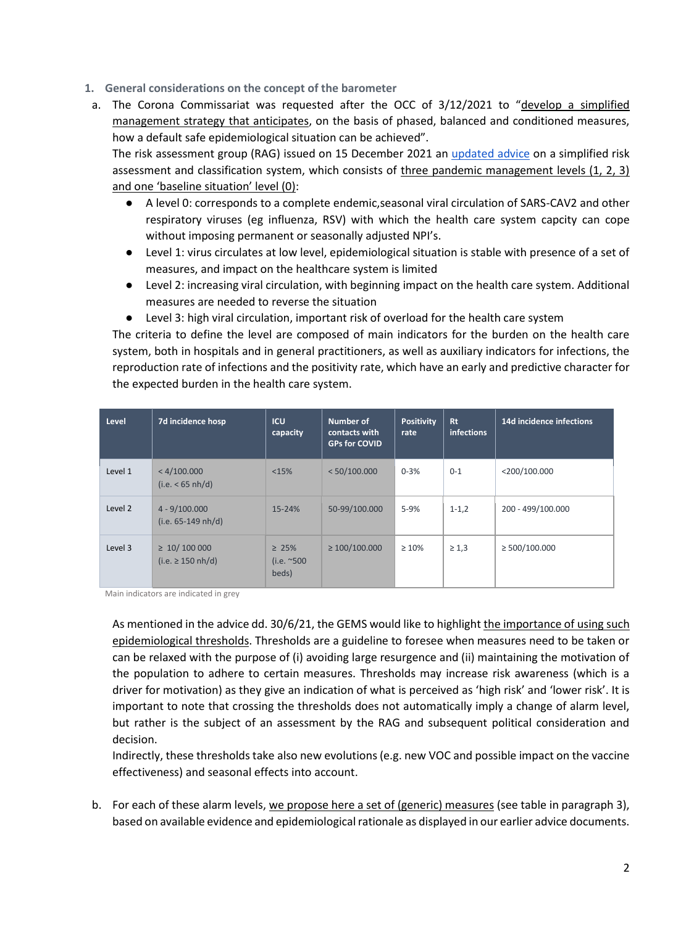- **1. General considerations on the concept of the barometer**
- a. The Corona Commissariat was requested after the OCC of 3/12/2021 to "develop a simplified management strategy that anticipates, on the basis of phased, balanced and conditioned measures, how a default safe epidemiological situation can be achieved".

The risk assessment group (RAG) issued on 15 December 2021 an [updated advice](https://covid-19.sciensano.be/sites/default/files/Covid19/20211215_Advice_RAG_Thresholds%20riskmanagement_Update_FR.pdf) on a simplified risk assessment and classification system, which consists of three pandemic management levels (1, 2, 3) and one 'baseline situation' level (0):

- A level 0: corresponds to a complete endemic,seasonal viral circulation of SARS-CAV2 and other respiratory viruses (eg influenza, RSV) with which the health care system capcity can cope without imposing permanent or seasonally adjusted NPI's.
- Level 1: virus circulates at low level, epidemiological situation is stable with presence of a set of measures, and impact on the healthcare system is limited
- Level 2: increasing viral circulation, with beginning impact on the health care system. Additional measures are needed to reverse the situation
- Level 3: high viral circulation, important risk of overload for the health care system

The criteria to define the level are composed of main indicators for the burden on the health care system, both in hospitals and in general practitioners, as well as auxiliary indicators for infections, the reproduction rate of infections and the positivity rate, which have an early and predictive character for the expected burden in the health care system.

| Level   | 7d incidence hosp                          | <b>ICU</b><br>capacity               | Number of<br>contacts with<br><b>GPs for COVID</b> | <b>Positivity</b><br>rate | <b>Rt</b><br>infections | 14d incidence infections |
|---------|--------------------------------------------|--------------------------------------|----------------------------------------------------|---------------------------|-------------------------|--------------------------|
| Level 1 | < 4/100.000<br>(i.e. < 65 nh/d)            | <15%                                 | < 50/100.000                                       | $0 - 3%$                  | $0 - 1$                 | $<$ 200/100.000          |
| Level 2 | $4 - 9/100.000$<br>$(i.e. 65-149 nh/d)$    | $15 - 24%$                           | 50-99/100.000                                      | $5 - 9%$                  | $1 - 1,2$               | 200 - 499/100.000        |
| Level 3 | $\geq 10/100000$<br>(i.e. $\geq$ 150 nh/d) | $\geq 25\%$<br>(i.e. $~500$<br>beds) | $\geq 100/100.000$                                 | $\geq 10\%$               | $\geq 1.3$              | $\geq$ 500/100.000       |

Main indicators are indicated in grey

As mentioned in the advice dd. 30/6/21, the GEMS would like to highlight the importance of using such epidemiological thresholds. Thresholds are a guideline to foresee when measures need to be taken or can be relaxed with the purpose of (i) avoiding large resurgence and (ii) maintaining the motivation of the population to adhere to certain measures. Thresholds may increase risk awareness (which is a driver for motivation) as they give an indication of what is perceived as 'high risk' and 'lower risk'. It is important to note that crossing the thresholds does not automatically imply a change of alarm level, but rather is the subject of an assessment by the RAG and subsequent political consideration and decision.

Indirectly, these thresholds take also new evolutions (e.g. new VOC and possible impact on the vaccine effectiveness) and seasonal effects into account.

b. For each of these alarm levels, we propose here a set of (generic) measures (see table in paragraph 3), based on available evidence and epidemiological rationale as displayed in our earlier advice documents.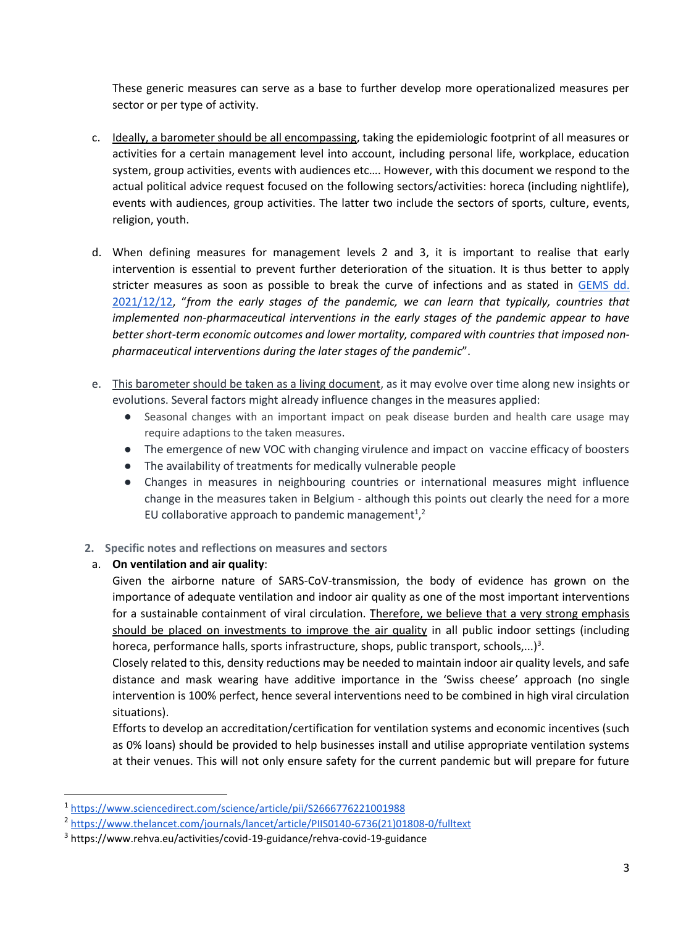These generic measures can serve as a base to further develop more operationalized measures per sector or per type of activity.

- c. Ideally, a barometer should be all encompassing, taking the epidemiologic footprint of all measures or activities for a certain management level into account, including personal life, workplace, education system, group activities, events with audiences etc…. However, with this document we respond to the actual political advice request focused on the following sectors/activities: horeca (including nightlife), events with audiences, group activities. The latter two include the sectors of sports, culture, events, religion, youth.
- d. When defining measures for management levels 2 and 3, it is important to realise that early intervention is essential to prevent further deterioration of the situation. It is thus better to apply stricter measures as soon as possible to break the curve of infections and as stated in [GEMS dd.](https://fdn01.fed.be/documents/1943c59886847d0895a02fb84bf0973f/GEMS_031_Considerations%20and%20Recommendations%20for%20OCC%2022_12-1.pdf)  [2021/12/12](https://fdn01.fed.be/documents/1943c59886847d0895a02fb84bf0973f/GEMS_031_Considerations%20and%20Recommendations%20for%20OCC%2022_12-1.pdf), "*from the early stages of the pandemic, we can learn that typically, countries that implemented non-pharmaceutical interventions in the early stages of the pandemic appear to have better short-term economic outcomes and lower mortality, compared with countries that imposed nonpharmaceutical interventions during the later stages of the pandemic*".
- e. This barometer should be taken as a living document, as it may evolve over time along new insights or evolutions. Several factors might already influence changes in the measures applied:
	- Seasonal changes with an important impact on peak disease burden and health care usage may require adaptions to the taken measures.
	- The emergence of new VOC with changing virulence and impact on vaccine efficacy of boosters
	- The availability of treatments for medically vulnerable people
	- Changes in measures in neighbouring countries or international measures might influence change in the measures taken in Belgium - although this points out clearly the need for a more EU collaborative approach to pandemic management<sup>1</sup>,<sup>2</sup>

### **2. Specific notes and reflections on measures and sectors**

### a. **On ventilation and air quality**:

Given the airborne nature of SARS-CoV-transmission, the body of evidence has grown on the importance of adequate ventilation and indoor air quality as one of the most important interventions for a sustainable containment of viral circulation. Therefore, we believe that a very strong emphasis should be placed on investments to improve the air quality in all public indoor settings (including horeca, performance halls, sports infrastructure, shops, public transport, schools,...)<sup>3</sup>.

Closely related to this, density reductions may be needed to maintain indoor air quality levels, and safe distance and mask wearing have additive importance in the 'Swiss cheese' approach (no single intervention is 100% perfect, hence several interventions need to be combined in high viral circulation situations).

Efforts to develop an accreditation/certification for ventilation systems and economic incentives (such as 0% loans) should be provided to help businesses install and utilise appropriate ventilation systems at their venues. This will not only ensure safety for the current pandemic but will prepare for future

<sup>1</sup> <https://www.sciencedirect.com/science/article/pii/S2666776221001988>

<sup>2</sup> [https://www.thelancet.com/journals/lancet/article/PIIS0140-6736\(21\)01808-0/fulltext](https://www.thelancet.com/journals/lancet/article/PIIS0140-6736(21)01808-0/fulltext)

<sup>3</sup> https://www.rehva.eu/activities/covid-19-guidance/rehva-covid-19-guidance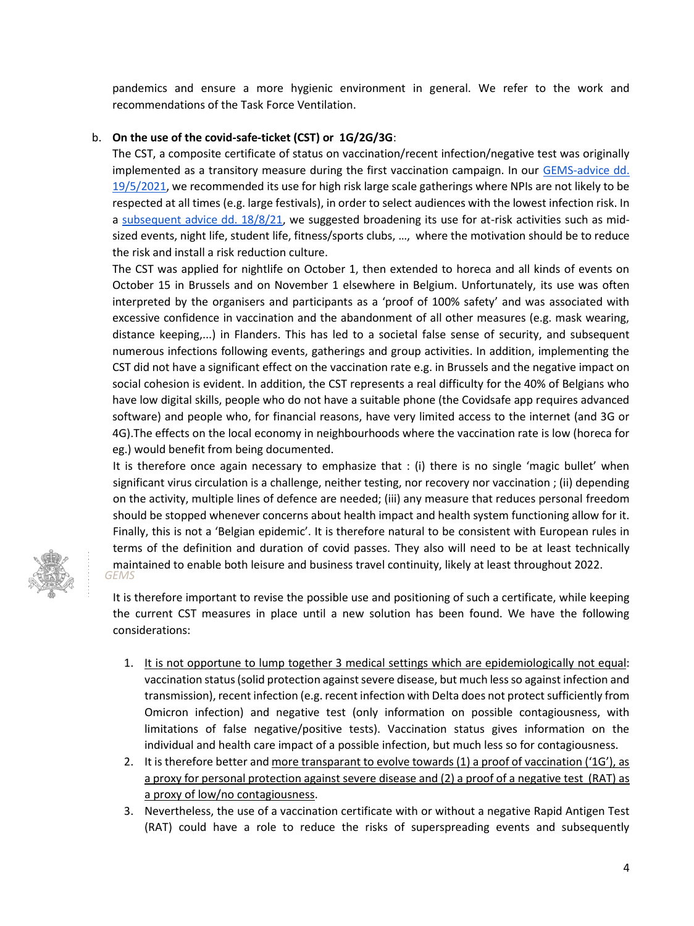pandemics and ensure a more hygienic environment in general. We refer to the work and recommendations of the Task Force Ventilation.

### b. **On the use of the covid-safe-ticket (CST) or 1G/2G/3G**:

The CST, a composite certificate of status on vaccination/recent infection/negative test was originally implemented as a transitory measure during the first vaccination campaign. In our [GEMS-advice dd.](https://d34j62pglfm3rr.cloudfront.net/downloads/GEMS%2B_Report+vaccination_20210519_final.pdf)  [19/5/2021,](https://d34j62pglfm3rr.cloudfront.net/downloads/GEMS%2B_Report+vaccination_20210519_final.pdf) we recommended its use for high risk large scale gatherings where NPIs are not likely to be respected at all times (e.g. large festivals), in order to select audiences with the lowest infection risk. In a [subsequent advice dd. 18/8/21,](https://d34j62pglfm3rr.cloudfront.net/downloads/GEMS%2B+19082021_final.pdf) we suggested broadening its use for at-risk activities such as midsized events, night life, student life, fitness/sports clubs, …, where the motivation should be to reduce the risk and install a risk reduction culture.

The CST was applied for nightlife on October 1, then extended to horeca and all kinds of events on October 15 in Brussels and on November 1 elsewhere in Belgium. Unfortunately, its use was often interpreted by the organisers and participants as a 'proof of 100% safety' and was associated with excessive confidence in vaccination and the abandonment of all other measures (e.g. mask wearing, distance keeping,...) in Flanders. This has led to a societal false sense of security, and subsequent numerous infections following events, gatherings and group activities. In addition, implementing the CST did not have a significant effect on the vaccination rate e.g. in Brussels and the negative impact on social cohesion is evident. In addition, the CST represents a real difficulty for the 40% of Belgians who have low digital skills, people who do not have a suitable phone (the Covidsafe app requires advanced software) and people who, for financial reasons, have very limited access to the internet (and 3G or 4G).The effects on the local economy in neighbourhoods where the vaccination rate is low (horeca for eg.) would benefit from being documented.

It is therefore once again necessary to emphasize that : (i) there is no single 'magic bullet' when significant virus circulation is a challenge, neither testing, nor recovery nor vaccination ; (ii) depending on the activity, multiple lines of defence are needed; (iii) any measure that reduces personal freedom should be stopped whenever concerns about health impact and health system functioning allow for it. Finally, this is not a 'Belgian epidemic'. It is therefore natural to be consistent with European rules in terms of the definition and duration of covid passes. They also will need to be at least technically maintained to enable both leisure and business travel continuity, likely at least throughout 2022. *GEMS*



It is therefore important to revise the possible use and positioning of such a certificate, while keeping the current CST measures in place until a new solution has been found. We have the following considerations:

- 1. It is not opportune to lump together 3 medical settings which are epidemiologically not equal: vaccination status (solid protection against severe disease, but much less so against infection and transmission), recent infection (e.g. recent infection with Delta does not protect sufficiently from Omicron infection) and negative test (only information on possible contagiousness, with limitations of false negative/positive tests). Vaccination status gives information on the individual and health care impact of a possible infection, but much less so for contagiousness.
- 2. It is therefore better and more transparant to evolve towards (1) a proof of vaccination ('1G'), as a proxy for personal protection against severe disease and (2) a proof of a negative test (RAT) as a proxy of low/no contagiousness.
- 3. Nevertheless, the use of a vaccination certificate with or without a negative Rapid Antigen Test (RAT) could have a role to reduce the risks of superspreading events and subsequently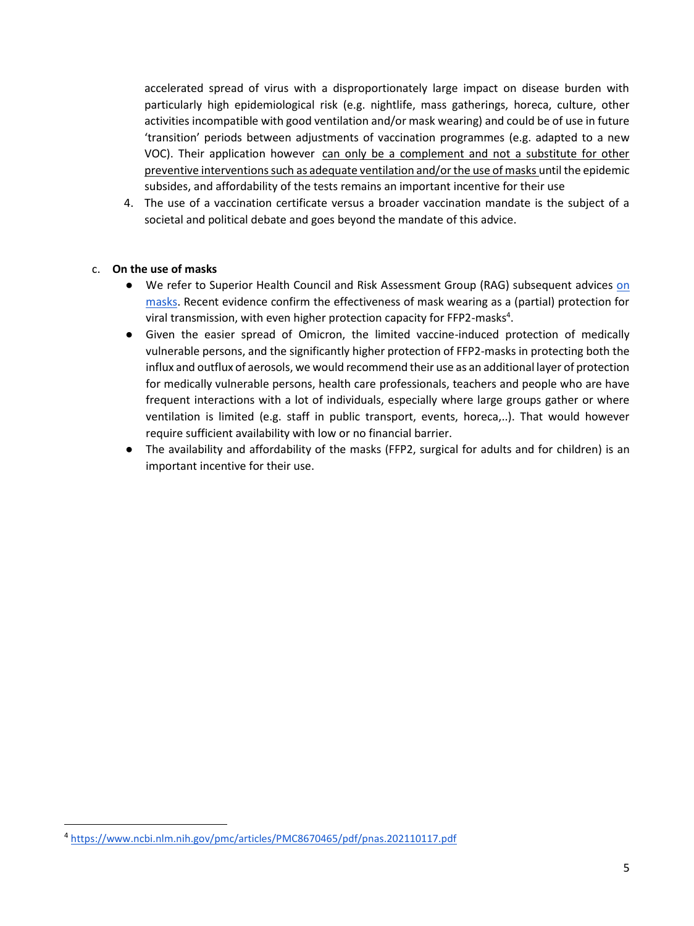accelerated spread of virus with a disproportionately large impact on disease burden with particularly high epidemiological risk (e.g. nightlife, mass gatherings, horeca, culture, other activities incompatible with good ventilation and/or mask wearing) and could be of use in future 'transition' periods between adjustments of vaccination programmes (e.g. adapted to a new VOC). Their application however can only be a complement and not a substitute for other preventive interventions such as adequate ventilation and/or the use of masks until the epidemic subsides, and affordability of the tests remains an important incentive for their use

4. The use of a vaccination certificate versus a broader vaccination mandate is the subject of a societal and political debate and goes beyond the mandate of this advice.

### c. **On the use of masks**

- We refer to Superior Health Council and Risk Assessment Group (RAG) subsequent advices on [masks.](https://www.google.com/url?q=https://covid-19.sciensano.be/sites/default/files/Covid19/20210201_Advice_Consensus_useoffacemasks_NL.pdf&sa=D&source=docs&ust=1642004865145925&usg=AOvVaw2lb0KzD367BSC3Ei-QFtwU) Recent evidence confirm the effectiveness of mask wearing as a (partial) protection for viral transmission, with even higher protection capacity for FFP2-masks<sup>4</sup>.
- Given the easier spread of Omicron, the limited vaccine-induced protection of medically vulnerable persons, and the significantly higher protection of FFP2-masks in protecting both the influx and outflux of aerosols, we would recommend their use as an additional layer of protection for medically vulnerable persons, health care professionals, teachers and people who are have frequent interactions with a lot of individuals, especially where large groups gather or where ventilation is limited (e.g. staff in public transport, events, horeca,..). That would however require sufficient availability with low or no financial barrier.
- The availability and affordability of the masks (FFP2, surgical for adults and for children) is an important incentive for their use.

<sup>4</sup> <https://www.ncbi.nlm.nih.gov/pmc/articles/PMC8670465/pdf/pnas.202110117.pdf>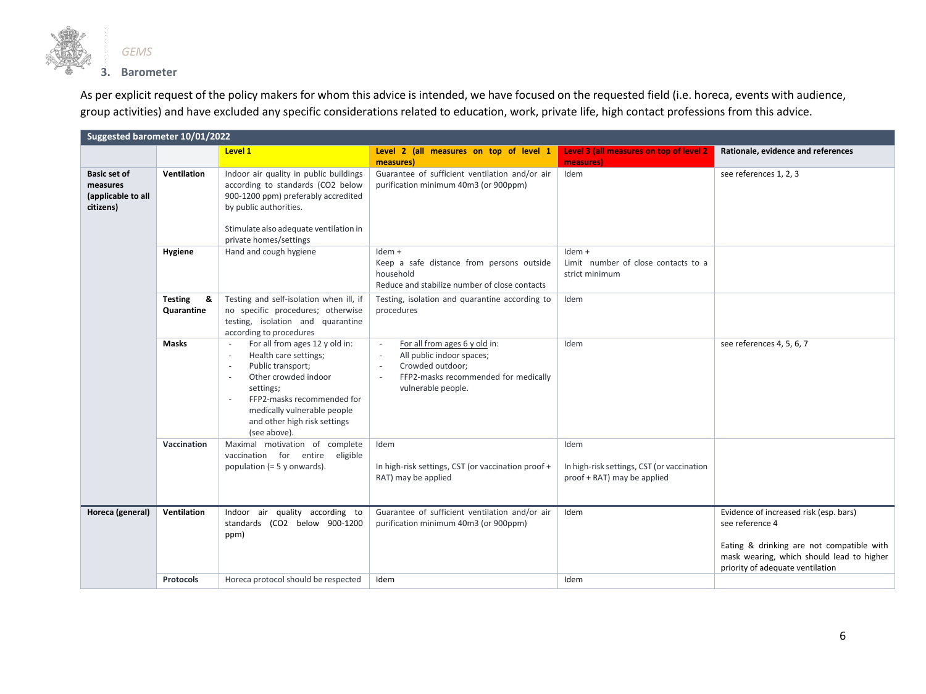

As per explicit request of the policy makers for whom this advice is intended, we have focused on the requested field (i.e. horeca, events with audience, group activities) and have excluded any specific considerations related to education, work, private life, high contact professions from this advice.

| Suggested barometer 10/01/2022                                     |                                   |                                                                                                                                                                                                                                                            |                                                                                                                                                                                                                |                                                                                   |                                                                                                                                                     |  |
|--------------------------------------------------------------------|-----------------------------------|------------------------------------------------------------------------------------------------------------------------------------------------------------------------------------------------------------------------------------------------------------|----------------------------------------------------------------------------------------------------------------------------------------------------------------------------------------------------------------|-----------------------------------------------------------------------------------|-----------------------------------------------------------------------------------------------------------------------------------------------------|--|
|                                                                    |                                   | Level 1                                                                                                                                                                                                                                                    | Level 2 (all measures on top of level 1<br>measures)                                                                                                                                                           | Level 3 (all measures on top of level 2<br>measures)                              | Rationale, evidence and references                                                                                                                  |  |
| <b>Basic set of</b><br>measures<br>(applicable to all<br>citizens) | <b>Ventilation</b>                | Indoor air quality in public buildings<br>according to standards (CO2 below<br>900-1200 ppm) preferably accredited<br>by public authorities.<br>Stimulate also adequate ventilation in<br>private homes/settings                                           | Guarantee of sufficient ventilation and/or air<br>purification minimum 40m3 (or 900ppm)                                                                                                                        | Idem                                                                              | see references 1, 2, 3                                                                                                                              |  |
|                                                                    | Hygiene                           | Hand and cough hygiene                                                                                                                                                                                                                                     | $Idem +$<br>Keep a safe distance from persons outside<br>household<br>Reduce and stabilize number of close contacts                                                                                            | $Idem +$<br>Limit number of close contacts to a<br>strict minimum                 |                                                                                                                                                     |  |
|                                                                    | <b>Testing</b><br>&<br>Quarantine | Testing and self-isolation when ill, if<br>no specific procedures; otherwise<br>testing, isolation and quarantine<br>according to procedures                                                                                                               | Testing, isolation and quarantine according to<br>procedures                                                                                                                                                   | Idem                                                                              |                                                                                                                                                     |  |
|                                                                    | Masks                             | For all from ages 12 y old in:<br>Health care settings;<br>Public transport;<br>Other crowded indoor<br>settings;<br>FFP2-masks recommended for<br>$\overline{\phantom{a}}$<br>medically vulnerable people<br>and other high risk settings<br>(see above). | For all from ages 6 y old in:<br>All public indoor spaces;<br>$\overline{\phantom{a}}$<br>Crowded outdoor;<br>$\sim$<br>FFP2-masks recommended for medically<br>$\overline{\phantom{a}}$<br>vulnerable people. | Idem                                                                              | see references 4, 5, 6, 7                                                                                                                           |  |
|                                                                    | Vaccination                       | Maximal motivation of complete<br>vaccination for entire eligible<br>population $(= 5$ y onwards).                                                                                                                                                         | Idem<br>In high-risk settings, CST (or vaccination proof +<br>RAT) may be applied                                                                                                                              | Idem<br>In high-risk settings, CST (or vaccination<br>proof + RAT) may be applied |                                                                                                                                                     |  |
| Horeca (general)                                                   | Ventilation                       | Indoor air quality according to<br>standards (CO2 below 900-1200<br>ppm)                                                                                                                                                                                   | Guarantee of sufficient ventilation and/or air<br>purification minimum 40m3 (or 900ppm)                                                                                                                        | Idem                                                                              | Evidence of increased risk (esp. bars)<br>see reference 4<br>Eating & drinking are not compatible with<br>mask wearing, which should lead to higher |  |
|                                                                    | <b>Protocols</b>                  | Horeca protocol should be respected                                                                                                                                                                                                                        | Idem                                                                                                                                                                                                           | Idem                                                                              | priority of adequate ventilation                                                                                                                    |  |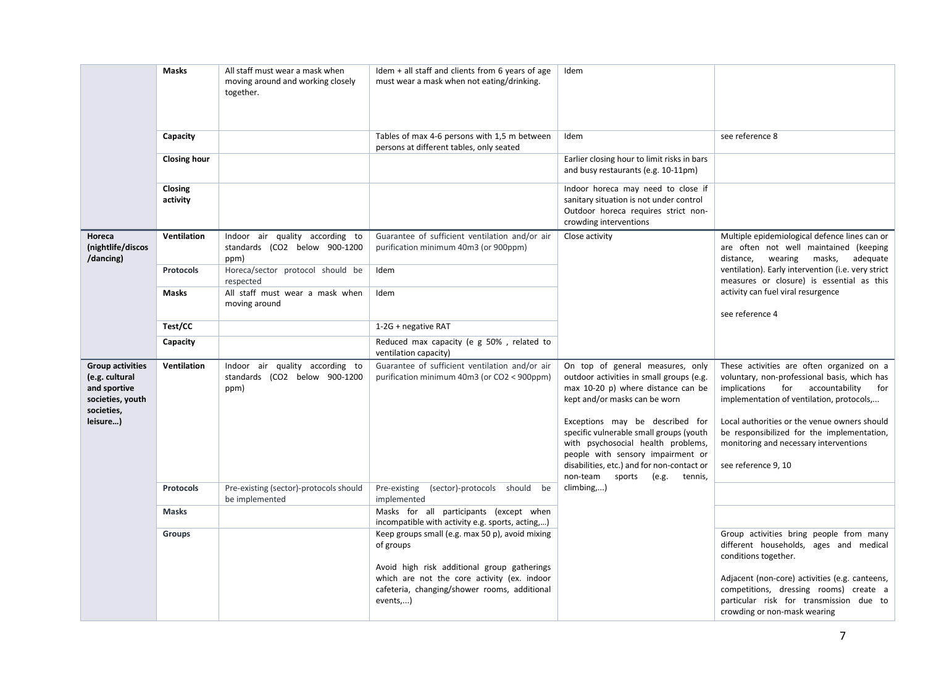|                                                                                                         | <b>Masks</b>        | All staff must wear a mask when<br>moving around and working closely<br>together. | Idem $+$ all staff and clients from 6 years of age<br>must wear a mask when not eating/drinking.                                                       | Idem                                                                                                                                                                                                                                                                                                                                                       |                                                                                                                                                                                                                                                                                                                                                 |
|---------------------------------------------------------------------------------------------------------|---------------------|-----------------------------------------------------------------------------------|--------------------------------------------------------------------------------------------------------------------------------------------------------|------------------------------------------------------------------------------------------------------------------------------------------------------------------------------------------------------------------------------------------------------------------------------------------------------------------------------------------------------------|-------------------------------------------------------------------------------------------------------------------------------------------------------------------------------------------------------------------------------------------------------------------------------------------------------------------------------------------------|
|                                                                                                         | Capacity            |                                                                                   | Tables of max 4-6 persons with 1,5 m between<br>persons at different tables, only seated                                                               | Idem                                                                                                                                                                                                                                                                                                                                                       | see reference 8                                                                                                                                                                                                                                                                                                                                 |
|                                                                                                         | <b>Closing hour</b> |                                                                                   |                                                                                                                                                        | Earlier closing hour to limit risks in bars<br>and busy restaurants (e.g. 10-11pm)                                                                                                                                                                                                                                                                         |                                                                                                                                                                                                                                                                                                                                                 |
|                                                                                                         | Closing<br>activity |                                                                                   |                                                                                                                                                        | Indoor horeca may need to close if<br>sanitary situation is not under control<br>Outdoor horeca requires strict non-<br>crowding interventions                                                                                                                                                                                                             |                                                                                                                                                                                                                                                                                                                                                 |
| Horeca<br>(nightlife/discos<br>/dancing)                                                                | Ventilation         | Indoor air quality according to<br>standards (CO2 below 900-1200<br>ppm)          | Guarantee of sufficient ventilation and/or air<br>purification minimum 40m3 (or 900ppm)                                                                | Close activity                                                                                                                                                                                                                                                                                                                                             | Multiple epidemiological defence lines can or<br>are often not well maintained (keeping<br>wearing<br>masks,<br>adequate<br>distance,                                                                                                                                                                                                           |
|                                                                                                         | Protocols           | Horeca/sector protocol should be<br>respected                                     | Idem                                                                                                                                                   |                                                                                                                                                                                                                                                                                                                                                            | ventilation). Early intervention (i.e. very strict<br>measures or closure) is essential as this                                                                                                                                                                                                                                                 |
|                                                                                                         | Masks               | All staff must wear a mask when<br>moving around                                  | Idem                                                                                                                                                   |                                                                                                                                                                                                                                                                                                                                                            | activity can fuel viral resurgence<br>see reference 4                                                                                                                                                                                                                                                                                           |
|                                                                                                         | Test/CC             |                                                                                   | 1-2G + negative RAT                                                                                                                                    |                                                                                                                                                                                                                                                                                                                                                            |                                                                                                                                                                                                                                                                                                                                                 |
|                                                                                                         | Capacity            |                                                                                   | Reduced max capacity (e g 50%, related to<br>ventilation capacity)                                                                                     |                                                                                                                                                                                                                                                                                                                                                            |                                                                                                                                                                                                                                                                                                                                                 |
| <b>Group activities</b><br>(e.g. cultural<br>and sportive<br>societies, youth<br>societies,<br>leisure) | Ventilation         | Indoor air quality according to<br>standards (CO2 below 900-1200<br>ppm)          | Guarantee of sufficient ventilation and/or air<br>purification minimum 40m3 (or CO2 < 900ppm)                                                          | On top of general measures, only<br>outdoor activities in small groups (e.g.<br>max 10-20 p) where distance can be<br>kept and/or masks can be worn<br>Exceptions may be described for<br>specific vulnerable small groups (youth<br>with psychosocial health problems,<br>people with sensory impairment or<br>disabilities, etc.) and for non-contact or | These activities are often organized on a<br>voluntary, non-professional basis, which has<br>implications for accountability<br>for<br>implementation of ventilation, protocols,<br>Local authorities or the venue owners should<br>be responsibilized for the implementation,<br>monitoring and necessary interventions<br>see reference 9, 10 |
|                                                                                                         |                     |                                                                                   |                                                                                                                                                        | non-team sports<br>(e.g.<br>tennis,                                                                                                                                                                                                                                                                                                                        |                                                                                                                                                                                                                                                                                                                                                 |
|                                                                                                         | Protocols           | Pre-existing (sector)-protocols should<br>be implemented                          | Pre-existing<br>(sector)-protocols should be<br>implemented                                                                                            | climbing,)                                                                                                                                                                                                                                                                                                                                                 |                                                                                                                                                                                                                                                                                                                                                 |
|                                                                                                         | <b>Masks</b>        |                                                                                   | Masks for all participants (except when<br>incompatible with activity e.g. sports, acting,)                                                            |                                                                                                                                                                                                                                                                                                                                                            |                                                                                                                                                                                                                                                                                                                                                 |
|                                                                                                         | <b>Groups</b>       |                                                                                   | Keep groups small (e.g. max 50 p), avoid mixing<br>of groups                                                                                           |                                                                                                                                                                                                                                                                                                                                                            | Group activities bring people from many<br>different households, ages and medical<br>conditions together.                                                                                                                                                                                                                                       |
|                                                                                                         |                     |                                                                                   | Avoid high risk additional group gatherings<br>which are not the core activity (ex. indoor<br>cafeteria, changing/shower rooms, additional<br>events,) |                                                                                                                                                                                                                                                                                                                                                            | Adjacent (non-core) activities (e.g. canteens,<br>competitions, dressing rooms) create a<br>particular risk for transmission due to<br>crowding or non-mask wearing                                                                                                                                                                             |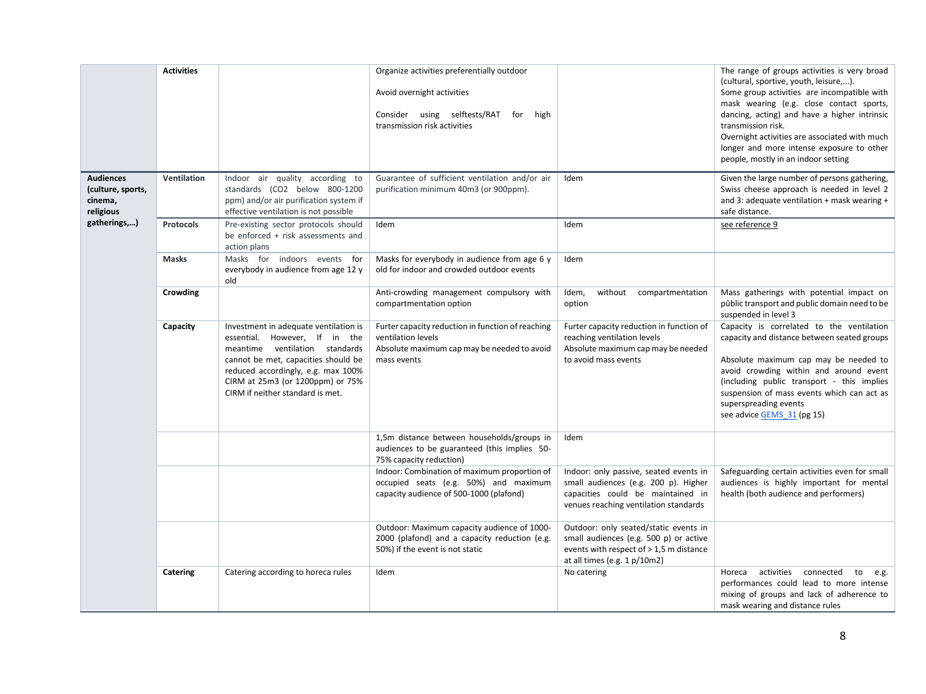|                                                               | <b>Activities</b> |                                                                                                                                                                                                                                                               | Organize activities preferentially outdoor<br>Avoid overnight activities<br>Consider using selftests/RAT for<br>high<br>transmission risk activities |                                                                                                                                                               | The range of groups activities is very broad<br>(cultural, sportive, youth, leisure,).<br>Some group activities are incompatible with<br>mask wearing (e.g. close contact sports,<br>dancing, acting) and have a higher intrinsic<br>transmission risk.<br>Overnight activities are associated with much<br>longer and more intense exposure to other<br>people, mostly in an indoor setting |
|---------------------------------------------------------------|-------------------|---------------------------------------------------------------------------------------------------------------------------------------------------------------------------------------------------------------------------------------------------------------|------------------------------------------------------------------------------------------------------------------------------------------------------|---------------------------------------------------------------------------------------------------------------------------------------------------------------|----------------------------------------------------------------------------------------------------------------------------------------------------------------------------------------------------------------------------------------------------------------------------------------------------------------------------------------------------------------------------------------------|
| <b>Audiences</b><br>(culture, sports,<br>cinema,<br>religious | Ventilation       | Indoor air quality according to<br>standards (CO2 below 800-1200<br>ppm) and/or air purification system if<br>effective ventilation is not possible                                                                                                           | Guarantee of sufficient ventilation and/or air<br>purification minimum 40m3 (or 900ppm).                                                             | Idem                                                                                                                                                          | Given the large number of persons gathering,<br>Swiss cheese approach is needed in level 2<br>and 3: adequate ventilation + mask wearing +<br>safe distance.                                                                                                                                                                                                                                 |
| gatherings,)                                                  | <b>Protocols</b>  | Pre-existing sector protocols should<br>be enforced + risk assessments and<br>action plans                                                                                                                                                                    | Idem                                                                                                                                                 | Idem                                                                                                                                                          | see reference 9                                                                                                                                                                                                                                                                                                                                                                              |
|                                                               | <b>Masks</b>      | Masks for indoors events<br>for<br>everybody in audience from age 12 y<br>old                                                                                                                                                                                 | Masks for everybody in audience from age 6 y<br>old for indoor and crowded outdoor events                                                            | Idem                                                                                                                                                          |                                                                                                                                                                                                                                                                                                                                                                                              |
|                                                               | Crowding          |                                                                                                                                                                                                                                                               | Anti-crowding management compulsory with<br>compartmentation option                                                                                  | Idem,<br>without compartmentation<br>option                                                                                                                   | Mass gatherings with potential impact on<br>pûblic transport and public domain need to be<br>suspended in level 3                                                                                                                                                                                                                                                                            |
|                                                               | Capacity          | Investment in adequate ventilation is<br>essential. However, If in the<br>meantime ventilation standards<br>cannot be met, capacities should be<br>reduced accordingly, e.g. max 100%<br>CIRM at 25m3 (or 1200ppm) or 75%<br>CIRM if neither standard is met. | Furter capacity reduction in function of reaching<br>ventilation levels<br>Absolute maximum cap may be needed to avoid<br>mass events                | Furter capacity reduction in function of<br>reaching ventilation levels<br>Absolute maximum cap may be needed<br>to avoid mass events                         | Capacity is correlated to the ventilation<br>capacity and distance between seated groups<br>Absolute maximum cap may be needed to<br>avoid crowding within and around event<br>(including public transport - this implies<br>suspension of mass events which can act as<br>superspreading events<br>see advice GEMS 31 (pg 15)                                                               |
|                                                               |                   |                                                                                                                                                                                                                                                               | 1,5m distance between households/groups in<br>audiences to be guaranteed (this implies 50-<br>75% capacity reduction)                                | Idem                                                                                                                                                          |                                                                                                                                                                                                                                                                                                                                                                                              |
|                                                               |                   |                                                                                                                                                                                                                                                               | Indoor: Combination of maximum proportion of<br>occupied seats (e.g. 50%) and maximum<br>capacity audience of 500-1000 (plafond)                     | Indoor: only passive, seated events in<br>small audiences (e.g. 200 p). Higher<br>capacities could be maintained in<br>venues reaching ventilation standards  | Safeguarding certain activities even for small<br>audiences is highly important for mental<br>health (both audience and performers)                                                                                                                                                                                                                                                          |
|                                                               |                   |                                                                                                                                                                                                                                                               | Outdoor: Maximum capacity audience of 1000-<br>2000 (plafond) and a capacity reduction (e.g.<br>50%) if the event is not static                      | Outdoor: only seated/static events in<br>small audiences (e.g. 500 p) or active<br>events with respect of > 1,5 m distance<br>at all times (e.g. $1 p/10m2$ ) |                                                                                                                                                                                                                                                                                                                                                                                              |
|                                                               | Catering          | Catering according to horeca rules                                                                                                                                                                                                                            | Idem                                                                                                                                                 | No catering                                                                                                                                                   | activities<br>connected to<br>Horeca<br>e.g.<br>performances could lead to more intense<br>mixing of groups and lack of adherence to<br>mask wearing and distance rules                                                                                                                                                                                                                      |